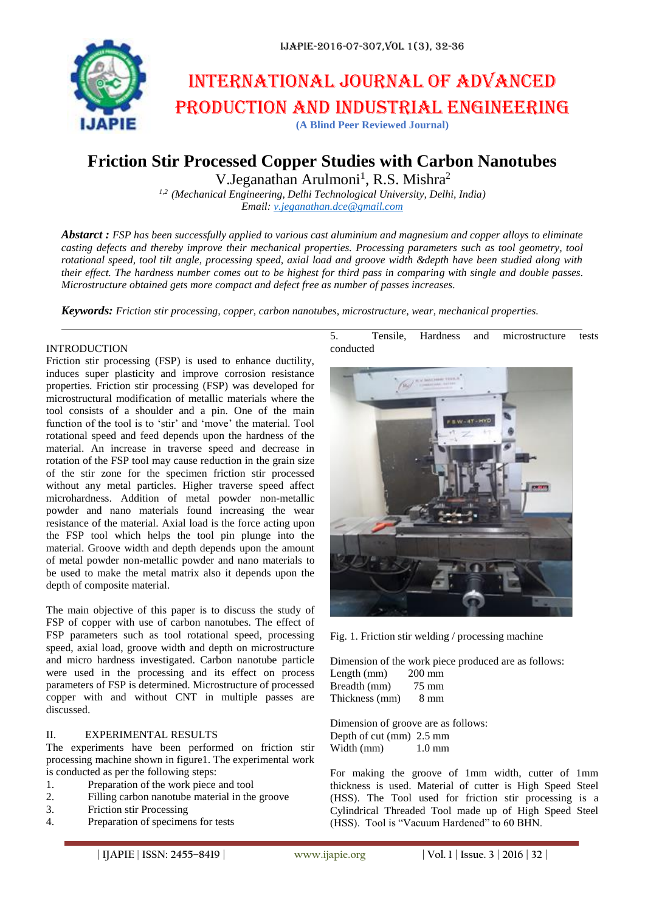

# International journal of advanced production and industrial engineering

**(A Blind Peer Reviewed Journal)**

# **Friction Stir Processed Copper Studies with Carbon Nanotubes**

V.Jeganathan Arulmoni<sup>1</sup>, R.S. Mishra<sup>2</sup>

*1,2 (Mechanical Engineering, Delhi Technological University, Delhi, India) Email: [v.jeganathan.dce@gmail.com](mailto:v.jeganathan.dce@gmail.com)*

*Abstarct : FSP has been successfully applied to various cast aluminium and magnesium and copper alloys to eliminate casting defects and thereby improve their mechanical properties. Processing parameters such as tool geometry, tool rotational speed, tool tilt angle, processing speed, axial load and groove width &depth have been studied along with their effect. The hardness number comes out to be highest for third pass in comparing with single and double passes. Microstructure obtained gets more compact and defect free as number of passes increases.*

*Keywords: Friction stir processing, copper, carbon nanotubes, microstructure, wear, mechanical properties.*

#### INTRODUCTION

Friction stir processing (FSP) is used to enhance ductility, induces super plasticity and improve corrosion resistance properties. Friction stir processing (FSP) was developed for microstructural modification of metallic materials where the tool consists of a shoulder and a pin. One of the main function of the tool is to 'stir' and 'move' the material. Tool rotational speed and feed depends upon the hardness of the material. An increase in traverse speed and decrease in rotation of the FSP tool may cause reduction in the grain size of the stir zone for the specimen friction stir processed without any metal particles. Higher traverse speed affect microhardness. Addition of metal powder non-metallic powder and nano materials found increasing the wear resistance of the material. Axial load is the force acting upon the FSP tool which helps the tool pin plunge into the material. Groove width and depth depends upon the amount of metal powder non-metallic powder and nano materials to be used to make the metal matrix also it depends upon the depth of composite material.

The main objective of this paper is to discuss the study of FSP of copper with use of carbon nanotubes. The effect of FSP parameters such as tool rotational speed, processing speed, axial load, groove width and depth on microstructure and micro hardness investigated. Carbon nanotube particle were used in the processing and its effect on process parameters of FSP is determined. Microstructure of processed copper with and without CNT in multiple passes are discussed.

## II. EXPERIMENTAL RESULTS

The experiments have been performed on friction stir processing machine shown in figure1. The experimental work is conducted as per the following steps:

- 1. Preparation of the work piece and tool
- 2. Filling carbon nanotube material in the groove
- 3. Friction stir Processing
- 4. Preparation of specimens for tests

5. Tensile, Hardness and microstructure tests conducted



Fig. 1. Friction stir welding / processing machine

Dimension of the work piece produced are as follows: Length (mm) 200 mm Breadth (mm) 75 mm Thickness (mm) 8 mm

Dimension of groove are as follows: Depth of cut (mm) 2.5 mm Width (mm) 1.0 mm

For making the groove of 1mm width, cutter of 1mm thickness is used. Material of cutter is High Speed Steel (HSS). The Tool used for friction stir processing is a Cylindrical Threaded Tool made up of High Speed Steel (HSS). Tool is "Vacuum Hardened" to 60 BHN.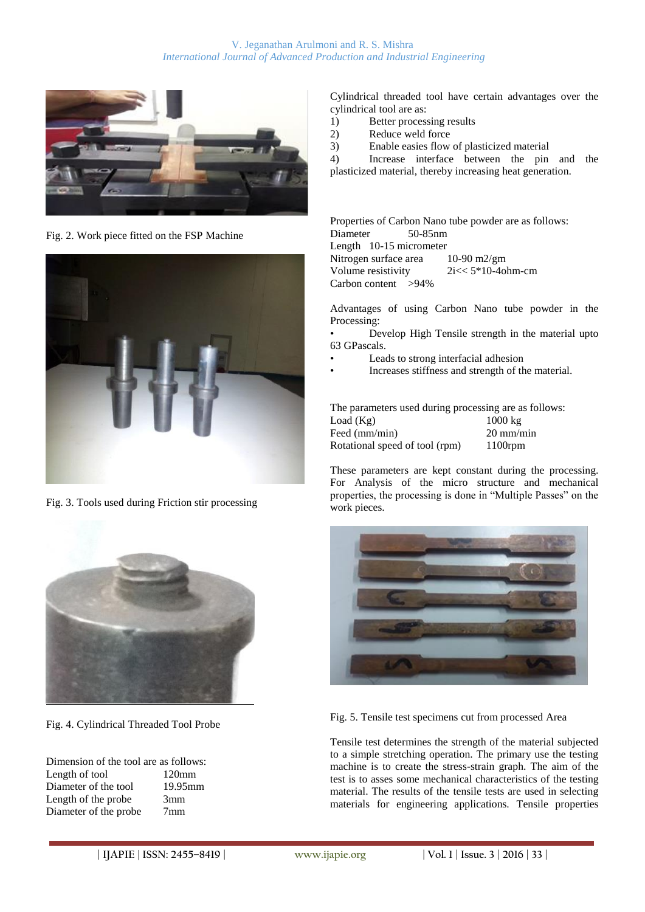

Fig. 2. Work piece fitted on the FSP Machine



Fig. 3. Tools used during Friction stir processing



Fig. 4. Cylindrical Threaded Tool Probe

| Dimension of the tool are as follows: |                 |
|---------------------------------------|-----------------|
| Length of tool                        | $120 \text{mm}$ |
| Diameter of the tool                  | $19.95$ mm      |
| Length of the probe                   | 3mm             |
| Diameter of the probe                 | 7 <sub>mm</sub> |
|                                       |                 |

Cylindrical threaded tool have certain advantages over the cylindrical tool are as:

- 1) Better processing results
- 2) Reduce weld force
- 3) Enable easies flow of plasticized material

4) Increase interface between the pin and the plasticized material, thereby increasing heat generation.

Properties of Carbon Nano tube powder are as follows: Diameter 50-85nm Length 10-15 micrometer Nitrogen surface area 10-90 m2/gm Volume resistivity  $2i \lt 5*10-4$ ohm-cm Carbon content >94%

Advantages of using Carbon Nano tube powder in the Processing:

• Develop High Tensile strength in the material upto 63 GPascals.

- Leads to strong interfacial adhesion
- Increases stiffness and strength of the material.

The parameters used during processing are as follows: Load  $(Kg)$  1000 kg Feed (mm/min) 20 mm/min<br>Rotational speed of tool (rpm) 1100rpm Rotational speed of tool (rpm)

These parameters are kept constant during the processing. For Analysis of the micro structure and mechanical properties, the processing is done in "Multiple Passes" on the work pieces.



Fig. 5. Tensile test specimens cut from processed Area

Tensile test determines the strength of the material subjected to a simple stretching operation. The primary use the testing machine is to create the stress-strain graph. The aim of the test is to asses some mechanical characteristics of the testing material. The results of the tensile tests are used in selecting materials for engineering applications. Tensile properties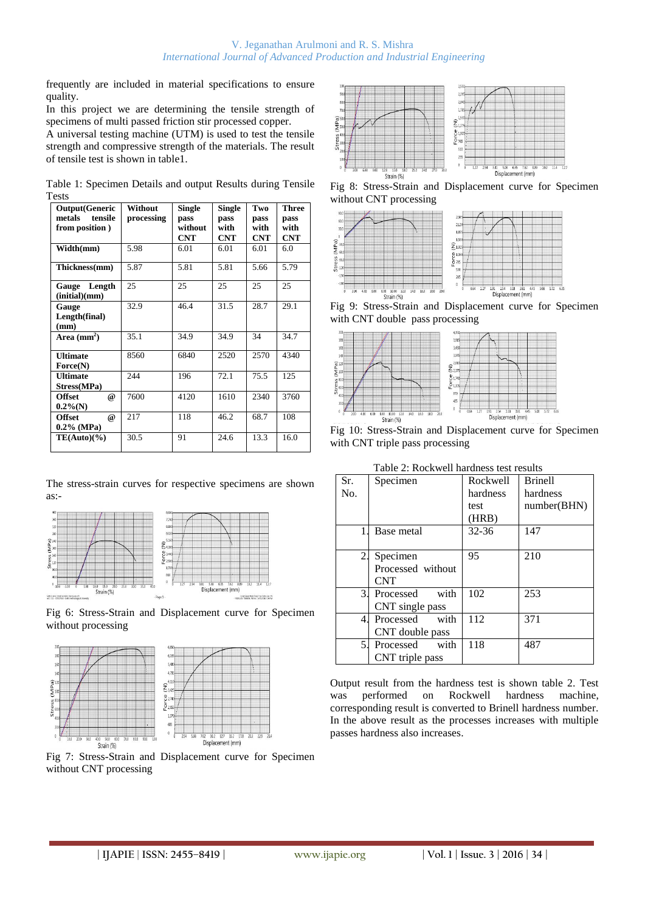frequently are included in material specifications to ensure quality.

In this project we are determining the tensile strength of specimens of multi passed friction stir processed copper.

A universal testing machine (UTM) is used to test the tensile strength and compressive strength of the materials. The result of tensile test is shown in table1.

|              |  | Table 1: Specimen Details and output Results during Tensile |  |  |  |
|--------------|--|-------------------------------------------------------------|--|--|--|
| <b>Tests</b> |  |                                                             |  |  |  |
|              |  |                                                             |  |  |  |

| <b>Output(Generic</b><br>tensile<br>metals<br>from position) | Without<br>processing | <b>Single</b><br>pass<br>without<br><b>CNT</b> | <b>Single</b><br>pass<br>with<br><b>CNT</b> | Two<br>pass<br>with<br><b>CNT</b> | <b>Three</b><br>pass<br>with<br><b>CNT</b> |
|--------------------------------------------------------------|-----------------------|------------------------------------------------|---------------------------------------------|-----------------------------------|--------------------------------------------|
| Width(mm)                                                    | 5.98                  | 6.01                                           | 6.01                                        | 6.01                              | 6.0                                        |
| Thickness(mm)                                                | 5.87                  | 5.81                                           | 5.81                                        | 5.66                              | 5.79                                       |
| Gauge Length<br>(intial)(mm)                                 | 25                    | 25                                             | 25                                          | 25                                | 25                                         |
| Gauge<br>Length(final)<br>(mm)                               | 32.9                  | 46.4                                           | 31.5                                        | 28.7                              | 29.1                                       |
| Area $(mm2)$                                                 | 35.1                  | 34.9                                           | 34.9                                        | 34                                | 34.7                                       |
| <b>Ultimate</b><br>Force(N)                                  | 8560                  | 6840                                           | 2520                                        | 2570                              | 4340                                       |
| <b>Ultimate</b><br>Stress(MPa)                               | 244                   | 196                                            | 72.1                                        | 75.5                              | 125                                        |
| <b>Offset</b><br>@<br>$0.2\%$ (N)                            | 7600                  | 4120                                           | 1610                                        | 2340                              | 3760                                       |
| <b>Offset</b><br>@<br>$0.2\%$ (MPa)                          | 217                   | 118                                            | 46.2                                        | 68.7                              | 108                                        |
| $TE(Auto)(\%)$                                               | 30.5                  | 91                                             | 24.6                                        | 13.3                              | 16.0                                       |

The stress-strain curves for respective specimens are shown as:-



Fig 6: Stress-Strain and Displacement curve for Specimen without processing





Fig 7: Stress-Strain and Displacement curve for Specimen without CNT processing



Fig 8: Stress-Strain and Displacement curve for Specimen without CNT processing



Fig 9: Stress-Strain and Displacement curve for Specimen with CNT double pass processing



Fig 10: Stress-Strain and Displacement curve for Specimen with CNT triple pass processing

| Sr. | Specimen          | Rockwell  | <b>Brinell</b> |
|-----|-------------------|-----------|----------------|
| No. |                   | hardness  | hardness       |
|     |                   | test      | number(BHN)    |
|     |                   | (HRB)     |                |
|     | Base metal        | $32 - 36$ | 147            |
|     |                   |           |                |
| 2.  | Specimen          | 95        | 210            |
|     | Processed without |           |                |
|     | <b>CNT</b>        |           |                |
| 3.  | with<br>Processed | 102       | 253            |
|     | CNT single pass   |           |                |
| 4.  | with<br>Processed | 112       | 371            |
|     | CNT double pass   |           |                |
| 5.  | Processed with    | 118       | 487            |
|     | CNT triple pass   |           |                |

Table 2: Rockwell hardness test results

Output result from the hardness test is shown table 2. Test was performed on Rockwell hardness machine, corresponding result is converted to Brinell hardness number. In the above result as the processes increases with multiple passes hardness also increases.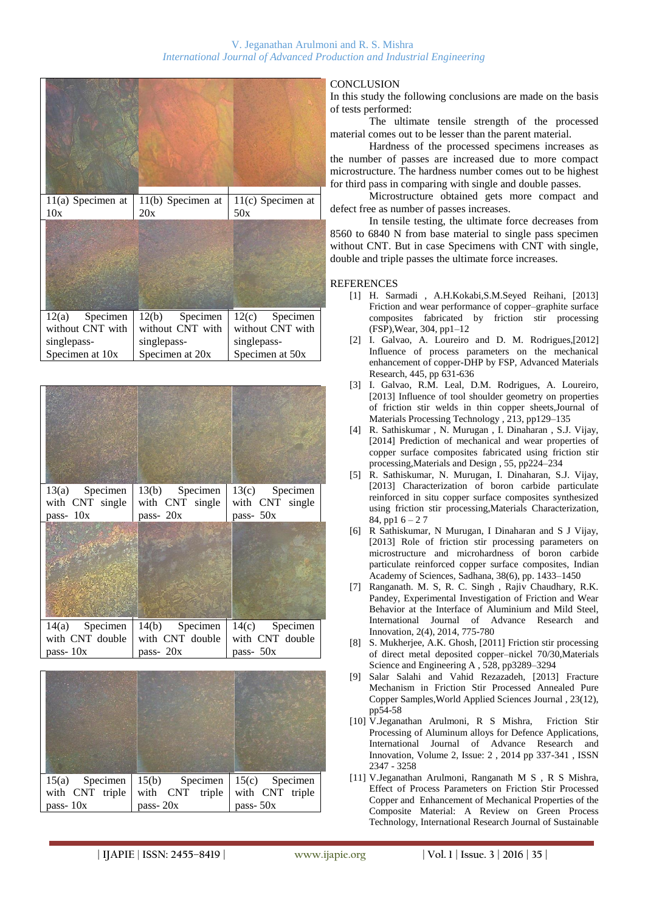





## **CONCLUSION**

In this study the following conclusions are made on the basis of tests performed:

The ultimate tensile strength of the processed material comes out to be lesser than the parent material.

Hardness of the processed specimens increases as the number of passes are increased due to more compact microstructure. The hardness number comes out to be highest for third pass in comparing with single and double passes.

Microstructure obtained gets more compact and defect free as number of passes increases.

In tensile testing, the ultimate force decreases from 8560 to 6840 N from base material to single pass specimen without CNT. But in case Specimens with CNT with single, double and triple passes the ultimate force increases.

#### **REFERENCES**

- [1] H. Sarmadi , A.H.Kokabi,S.M.Seyed Reihani, [2013] Friction and wear performance of copper–graphite surface composites fabricated by friction stir processing (FSP),Wear, 304, pp1–12
- [2] I. Galvao, A. Loureiro and D. M. Rodrigues,[2012] Influence of process parameters on the mechanical enhancement of copper-DHP by FSP, Advanced Materials Research, 445, pp 631-636
- [3] I. Galvao, R.M. Leal, D.M. Rodrigues, A. Loureiro, [2013] Influence of tool shoulder geometry on properties of friction stir welds in thin copper sheets,Journal of Materials Processing Technology , 213, pp129–135
- [4] R. Sathiskumar , N. Murugan , I. Dinaharan , S.J. Vijay, [2014] Prediction of mechanical and wear properties of copper surface composites fabricated using friction stir processing,Materials and Design , 55, pp224–234
- [5] R. Sathiskumar, N. Murugan, I. Dinaharan, S.J. Vijay, [2013] Characterization of boron carbide particulate reinforced in situ copper surface composites synthesized using friction stir processing,Materials Characterization, 84, pp1  $6 - 27$
- [6] R Sathiskumar, N Murugan, I Dinaharan and S J Vijay, [2013] Role of friction stir processing parameters on microstructure and microhardness of boron carbide particulate reinforced copper surface composites, Indian Academy of Sciences, Sadhana, 38(6), pp. 1433–1450
- [7] Ranganath. M. S, R. C. Singh , Rajiv Chaudhary, R.K. Pandey, Experimental Investigation of Friction and Wear Behavior at the Interface of Aluminium and Mild Steel, International Journal of Advance Research Innovation, 2(4), 2014, 775-780
- [8] S. Mukherjee, A.K. Ghosh, [2011] Friction stir processing of direct metal deposited copper–nickel 70/30,Materials Science and Engineering A , 528, pp3289–3294
- [9] Salar Salahi and Vahid Rezazadeh, [2013] Fracture Mechanism in Friction Stir Processed Annealed Pure Copper Samples,World Applied Sciences Journal , 23(12), pp54-58
- [10] V.Jeganathan Arulmoni, R S Mishra, Friction Stir Processing of Aluminum alloys for Defence Applications, International Journal of Advance Research and Innovation, Volume 2, Issue: 2 , 2014 pp 337-341 , ISSN 2347 - 3258
- [11] V.Jeganathan Arulmoni, Ranganath M S , R S Mishra, Effect of Process Parameters on Friction Stir Processed Copper and Enhancement of Mechanical Properties of the Composite Material: A Review on Green Process Technology, International Research Journal of Sustainable

**| IJAPIE** | **ISSN: 2455–8419 | www.ijapie.org | Vol. 1 | Issue. 3 | 2016 | 35 |**